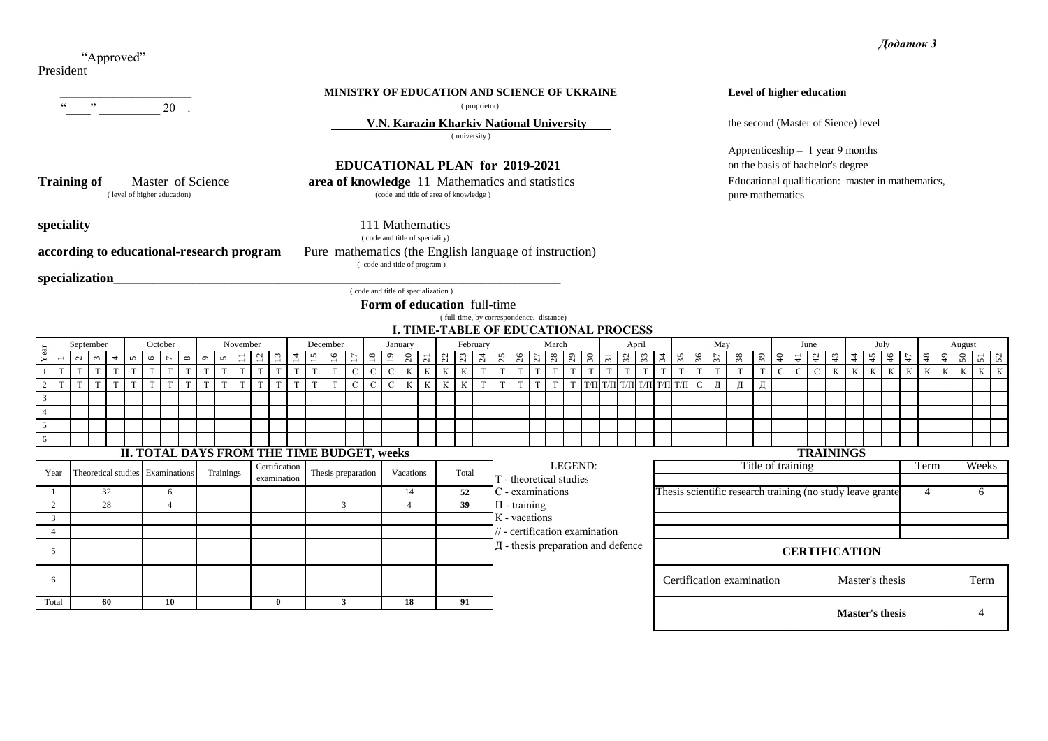President "Approved"

#### **MINISTRY OF EDUCATION AND SCIENCE OF UKRAINE**

 **V.N. Karazin Kharkiv National University the second (Master of Sience) level the second (Master of Sience) level** 

( university )

# **EDUCATIONAL PLAN for 2019-2021**

**Training of Master of Science area of knowledge** 11 Mathematics and statistics (code and title of area of knowledge) (code and title of area of knowledge)

**speciality** 111 Mathematics

**according to educational-research program** Pure mathematics (the English language of instruction)

( code and title of program )

( code and title of speciality)

specialization\_

( code and title of specialization )

**Form of education** full-time

( full-time, by correspondence, distance)

**І. TIME-TABLE OF EDUCATIONAL PROCESS**

|       |                          | September     |                                  |        | October |                |              |         |            | November     |               |                |              | December           |                |              | January                                    |             |                  | February |   |   |                  |   | March                   |         |                                           | April | May<br>July<br>June<br>August |                                   |  |  |                                                            |               |              |                      |               |                  |                 |                |                        |    |      |   |                              |       |  |
|-------|--------------------------|---------------|----------------------------------|--------|---------|----------------|--------------|---------|------------|--------------|---------------|----------------|--------------|--------------------|----------------|--------------|--------------------------------------------|-------------|------------------|----------|---|---|------------------|---|-------------------------|---------|-------------------------------------------|-------|-------------------------------|-----------------------------------|--|--|------------------------------------------------------------|---------------|--------------|----------------------|---------------|------------------|-----------------|----------------|------------------------|----|------|---|------------------------------|-------|--|
|       | $\overline{\phantom{0}}$ | $\sim$ $\sim$ | $\overline{4}$                   | $\sim$ | $\circ$ | $\overline{ }$ | $\infty$     | $\circ$ | $\sqrt{2}$ | $\Xi$ $\Xi$  | $\mathbf{r}$  | $\overline{a}$ | $\Xi$        | $\approx$          | $\overline{u}$ |              |                                            |             |                  |          |   |   |                  |   |                         |         |                                           |       |                               |                                   |  |  | 38                                                         | $\mathcal{S}$ | $\Theta$     | $\frac{1}{4}$        |               | $\frac{1}{4}$    | $\frac{4}{4}$   | $\frac{45}{3}$ |                        | 46 |      |   | $48$<br>$50$<br>$51$<br>$52$ |       |  |
|       |                          | T             |                                  |        |         |                |              |         |            |              |               |                |              |                    | $\mathbf C$    |              | $\mathcal{C}$                              | К           | К<br>$\mathbf K$ |          | T |   |                  |   |                         |         |                                           |       |                               |                                   |  |  |                                                            |               | $\mathbf{C}$ |                      | $\mathcal{C}$ |                  | К               | К              | K                      | K  | K    | К | $\mathbf{K}$                 | $K$ K |  |
|       |                          | T<br>T        |                                  | T      |         |                | $\mathbf{r}$ |         | T          | $\mathbf{T}$ |               | T              | <sup>T</sup> |                    | $\mathbf C$    | $\mathbf{C}$ | $\mathbf{C}$                               | $\mathbf K$ | К<br>К           | K        | T | T | $\mathbf{T}$     | T | T                       |         |                                           |       |                               | Т   Т/П Т/П Т/П Т/П Т/П Т/П С   Д |  |  |                                                            | Д             |              |                      |               |                  |                 |                |                        |    |      |   |                              |       |  |
|       |                          |               |                                  |        |         |                |              |         |            |              |               |                |              |                    |                |              |                                            |             |                  |          |   |   |                  |   |                         |         |                                           |       |                               |                                   |  |  |                                                            |               |              |                      |               |                  |                 |                |                        |    |      |   |                              |       |  |
|       |                          |               |                                  |        |         |                |              |         |            |              |               |                |              |                    |                |              |                                            |             |                  |          |   |   |                  |   |                         |         |                                           |       |                               |                                   |  |  |                                                            |               |              |                      |               |                  |                 |                |                        |    |      |   |                              |       |  |
| 5     |                          |               |                                  |        |         |                |              |         |            |              |               |                |              |                    |                |              |                                            |             |                  |          |   |   |                  |   |                         |         |                                           |       |                               |                                   |  |  |                                                            |               |              |                      |               |                  |                 |                |                        |    |      |   |                              |       |  |
| 6     |                          |               |                                  |        |         |                |              |         |            |              |               |                |              |                    |                |              |                                            |             |                  |          |   |   |                  |   |                         |         |                                           |       |                               |                                   |  |  |                                                            |               |              |                      |               |                  |                 |                |                        |    |      |   |                              |       |  |
|       |                          |               |                                  |        |         |                |              |         |            |              |               |                |              |                    |                |              | II. TOTAL DAYS FROM THE TIME BUDGET, weeks |             |                  |          |   |   |                  |   |                         |         |                                           |       |                               |                                   |  |  |                                                            |               |              |                      |               | <b>TRAININGS</b> |                 |                |                        |    |      |   |                              |       |  |
| Year  |                          |               | Theoretical studies Examinations |        |         |                |              |         | Trainings  |              | Certification |                |              | Thesis preparation |                |              | Vacations                                  |             |                  | Total    |   |   |                  |   |                         | LEGEND: |                                           |       |                               |                                   |  |  |                                                            |               |              | Title of training    |               |                  |                 |                |                        |    | Term |   |                              | Weeks |  |
|       |                          |               |                                  |        |         |                |              |         |            |              | examination   |                |              |                    |                |              |                                            |             |                  |          |   |   |                  |   | T - theoretical studies |         |                                           |       |                               |                                   |  |  |                                                            |               |              |                      |               |                  |                 |                |                        |    |      |   |                              |       |  |
|       |                          |               | 32                               |        |         | 6              |              |         |            |              |               |                |              |                    |                |              |                                            | 14          |                  | 52       |   |   |                  |   | C - examinations        |         |                                           |       |                               |                                   |  |  | Thesis scientific research training (no study leave grante |               |              |                      |               |                  |                 |                |                        |    |      |   |                              | 6     |  |
|       |                          |               | 28                               |        |         |                |              |         |            |              |               |                |              | 3                  |                |              |                                            |             |                  | 39       |   |   | $\Pi$ - training |   |                         |         |                                           |       |                               |                                   |  |  |                                                            |               |              |                      |               |                  |                 |                |                        |    |      |   |                              |       |  |
|       |                          |               |                                  |        |         |                |              |         |            |              |               |                |              |                    |                |              |                                            |             |                  |          |   |   | K - vacations    |   |                         |         |                                           |       |                               |                                   |  |  |                                                            |               |              |                      |               |                  |                 |                |                        |    |      |   |                              |       |  |
|       |                          |               |                                  |        |         |                |              |         |            |              |               |                |              |                    |                |              |                                            |             |                  |          |   |   |                  |   |                         |         | $\frac{1}{2}$ - certification examination |       |                               |                                   |  |  |                                                            |               |              |                      |               |                  |                 |                |                        |    |      |   |                              |       |  |
|       |                          |               |                                  |        |         |                |              |         |            |              |               |                |              |                    |                |              |                                            |             |                  |          |   |   |                  |   |                         |         | Д - thesis preparation and defence        |       |                               |                                   |  |  |                                                            |               |              | <b>CERTIFICATION</b> |               |                  |                 |                |                        |    |      |   |                              |       |  |
| 6     |                          |               |                                  |        |         |                |              |         |            |              |               |                |              |                    |                |              |                                            |             |                  |          |   |   |                  |   |                         |         |                                           |       |                               |                                   |  |  | Certification examination                                  |               |              |                      |               |                  | Master's thesis |                |                        |    |      |   |                              | Term  |  |
| Total |                          |               | 60                               |        |         | 10             |              |         |            |              | $\mathbf{0}$  |                |              | 3                  |                |              |                                            | 18          |                  | 91       |   |   |                  |   |                         |         |                                           |       |                               |                                   |  |  |                                                            |               |              |                      |               |                  |                 |                | <b>Master's thesis</b> |    |      |   |                              |       |  |

## **Level of higher education**

on the basis of bachelor's degree Educational qualification: master in mathematics, pure mathematics Apprenticeship – 1 year 9 months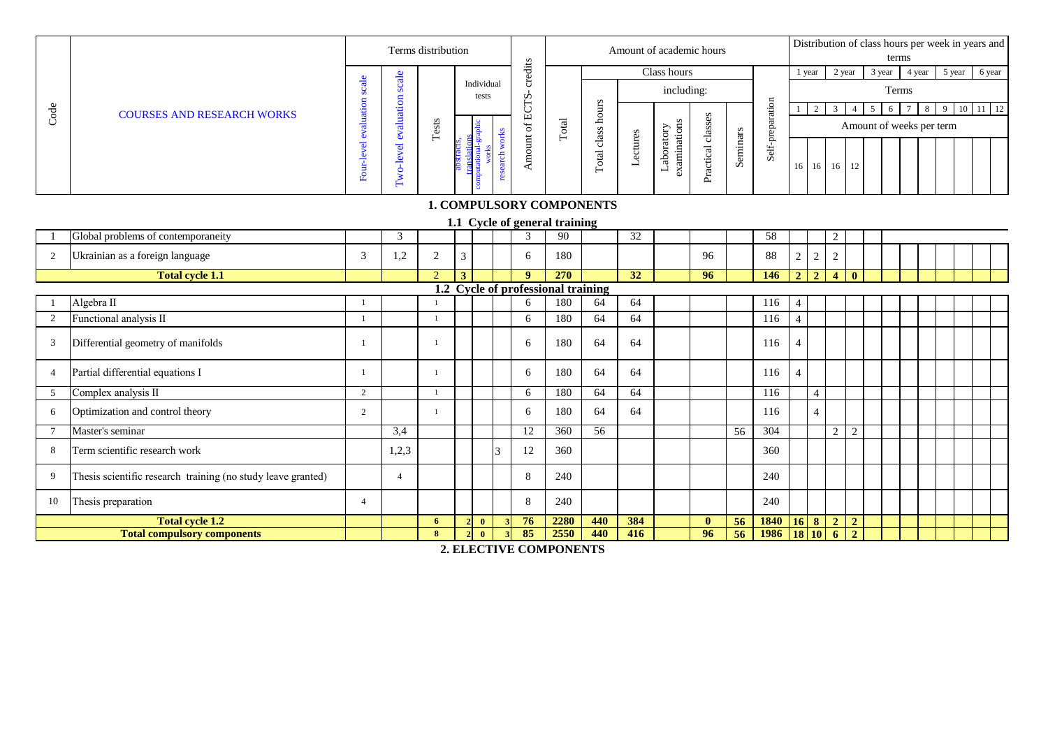|      |                                   |                                        | Terms distribution |                                 |          |              |                     |         | Amount of academic hours         |                               |          |       | Distribution of class hours per week in years and<br>terms |
|------|-----------------------------------|----------------------------------------|--------------------|---------------------------------|----------|--------------|---------------------|---------|----------------------------------|-------------------------------|----------|-------|------------------------------------------------------------|
|      |                                   | $rac{1}{a}$                            |                    |                                 | dits     |              |                     |         | Class hours                      |                               |          |       | 5 year 6 year<br>3 year<br>2 year<br>l year<br>4 year      |
|      |                                   | ပ<br>Ō                                 |                    | Individual<br>tests             | $\Omega$ |              |                     |         | including:                       |                               |          |       | Terms                                                      |
| code | <b>COURSES AND RESEARCH WORKS</b> | aluation                               |                    |                                 |          |              |                     |         |                                  |                               |          | ◠     | 10 11 12                                                   |
|      |                                   |                                        | ests               |                                 |          | <b>Total</b> | ass                 |         | Ë                                | lass                          |          |       | Amount of weeks per term                                   |
|      |                                   | Ö<br>$\overline{\mathbf{e}}$<br>உ<br>c | ⊢                  |                                 | ゠        |              | $\cdot$ .<br>ಸ<br>⊢ | sctures | aboratory<br>nati<br>Ħ<br>ᆜ<br>c | َت<br>$\sigma$<br>Φ<br>g<br>≏ | Seminars | Self- | 16 16 16 12                                                |
|      |                                   |                                        |                    | <b>1. COMPULSORY COMPONENTS</b> |          |              |                     |         |                                  |                               |          |       |                                                            |
|      |                                   |                                        |                    | 1.1 Cycle of general training   |          |              |                     |         |                                  |                               |          |       |                                                            |

## **1. COMPULSORY COMPONENTS**

| Code           | <b>COURSES AND RESEARCH WORKS</b>                            |                       |                      |                |   |                       |                |               |                                    |                                 |                 |                            |                   |          |                     |                 | 2               | $\overline{3}$ | $\overline{4}$ | 5 <sup>1</sup> | 6 | 7 8 9 |                          | $10$ 11 12 |
|----------------|--------------------------------------------------------------|-----------------------|----------------------|----------------|---|-----------------------|----------------|---------------|------------------------------------|---------------------------------|-----------------|----------------------------|-------------------|----------|---------------------|-----------------|-----------------|----------------|----------------|----------------|---|-------|--------------------------|------------|
|                |                                                              |                       |                      | Tests          |   |                       |                |               | $\rm Total$                        |                                 |                 |                            |                   |          |                     |                 |                 |                |                |                |   |       | Amount of weeks per term |            |
|                |                                                              | Four-level evaluation | Two-level evaluation |                |   | computational-graphic | research works | Amount of ECT |                                    | Total class hours               | Lectures        | Laboratory<br>examinations | Practical classes | Seminars | Self-preparation    | 16 <sup>1</sup> | 16              | 16 12          |                |                |   |       |                          |            |
|                |                                                              |                       |                      |                |   |                       |                |               |                                    | <b>1. COMPULSORY COMPONENTS</b> |                 |                            |                   |          |                     |                 |                 |                |                |                |   |       |                          |            |
|                |                                                              |                       |                      |                |   |                       |                |               | 1.1 Cycle of general training      |                                 |                 |                            |                   |          |                     |                 |                 |                |                |                |   |       |                          |            |
|                | Global problems of contemporaneity                           |                       | 3                    |                |   |                       |                | $\mathcal{R}$ | 90                                 |                                 | $\overline{32}$ |                            |                   |          | 58                  |                 |                 | $\overline{c}$ |                |                |   |       |                          |            |
| $\overline{2}$ | Ukrainian as a foreign language                              | 3                     | 1,2                  | 2              | 3 |                       |                | 6             | 180                                |                                 |                 |                            | 96                |          | 88                  | $\overline{2}$  | $\sqrt{2}$      | $\overline{c}$ |                |                |   |       |                          |            |
|                | <b>Total cycle 1.1</b>                                       |                       |                      | $\overline{2}$ | 3 |                       |                | $\mathbf{Q}$  | 270                                |                                 | 32              |                            | 96                |          | 146                 |                 | $2 \mid 2 \mid$ | $\overline{4}$ | $\mathbf{0}$   |                |   |       |                          |            |
|                |                                                              |                       |                      |                |   |                       |                |               | 1.2 Cycle of professional training |                                 |                 |                            |                   |          |                     |                 |                 |                |                |                |   |       |                          |            |
|                | Algebra II                                                   |                       |                      |                |   |                       |                | 6             | 180                                | 64                              | 64              |                            |                   |          | 116                 |                 |                 |                |                |                |   |       |                          |            |
| 2              | Functional analysis II                                       | $\mathbf{1}$          |                      |                |   |                       |                | 6             | 180                                | 64                              | 64              |                            |                   |          | 116                 | $\Delta$        |                 |                |                |                |   |       |                          |            |
| 3              | Differential geometry of manifolds                           | $\mathbf{1}$          |                      |                |   |                       |                | 6             | 180                                | 64                              | 64              |                            |                   |          | 116                 |                 |                 |                |                |                |   |       |                          |            |
| $\overline{4}$ | Partial differential equations I                             | $\mathbf{1}$          |                      |                |   |                       |                | 6             | 180                                | 64                              | 64              |                            |                   |          | 116                 |                 |                 |                |                |                |   |       |                          |            |
| 5              | Complex analysis II                                          | 2                     |                      |                |   |                       |                | 6             | 180                                | 64                              | 64              |                            |                   |          | 116                 |                 | $\overline{4}$  |                |                |                |   |       |                          |            |
| 6              | Optimization and control theory                              | $\overline{2}$        |                      |                |   |                       |                | 6             | 180                                | 64                              | 64              |                            |                   |          | 116                 |                 | $\Delta$        |                |                |                |   |       |                          |            |
|                | Master's seminar                                             |                       | 3,4                  |                |   |                       |                | 12            | 360                                | 56                              |                 |                            |                   | 56       | 304                 |                 |                 | 2              | 2              |                |   |       |                          |            |
| 8              | Term scientific research work                                |                       | 1,2,3                |                |   |                       |                | 12            | 360                                |                                 |                 |                            |                   |          | 360                 |                 |                 |                |                |                |   |       |                          |            |
| 9              | Thesis scientific research training (no study leave granted) |                       | $\overline{4}$       |                |   |                       |                | 8             | 240                                |                                 |                 |                            |                   |          | 240                 |                 |                 |                |                |                |   |       |                          |            |
| 10             | Thesis preparation                                           | $\overline{4}$        |                      |                |   |                       |                | 8             | 240                                |                                 |                 |                            |                   |          | 240                 |                 |                 |                |                |                |   |       |                          |            |
|                | <b>Total cycle 1.2</b>                                       |                       |                      | 6              |   | $\mathbf{0}$          |                | 76            | 2280                               | 440                             | 384             |                            | $\mathbf{0}$      | 56       | $1840$ $16$ $8$ $2$ |                 |                 |                | $\overline{2}$ |                |   |       |                          |            |
|                | <b>Total compulsory components</b>                           |                       |                      | 8              |   | $\mathbf{0}$          |                | 85            | 2550                               | 440                             | 416             |                            | 96                | 56       | 1986                | 18 10           |                 | $\overline{6}$ | $\overline{2}$ |                |   |       |                          |            |
|                |                                                              |                       |                      |                |   |                       |                |               | $2E$ be pative components          |                                 |                 |                            |                   |          |                     |                 |                 |                |                |                |   |       |                          |            |

**2. ELECTIVE COMPONENTS**